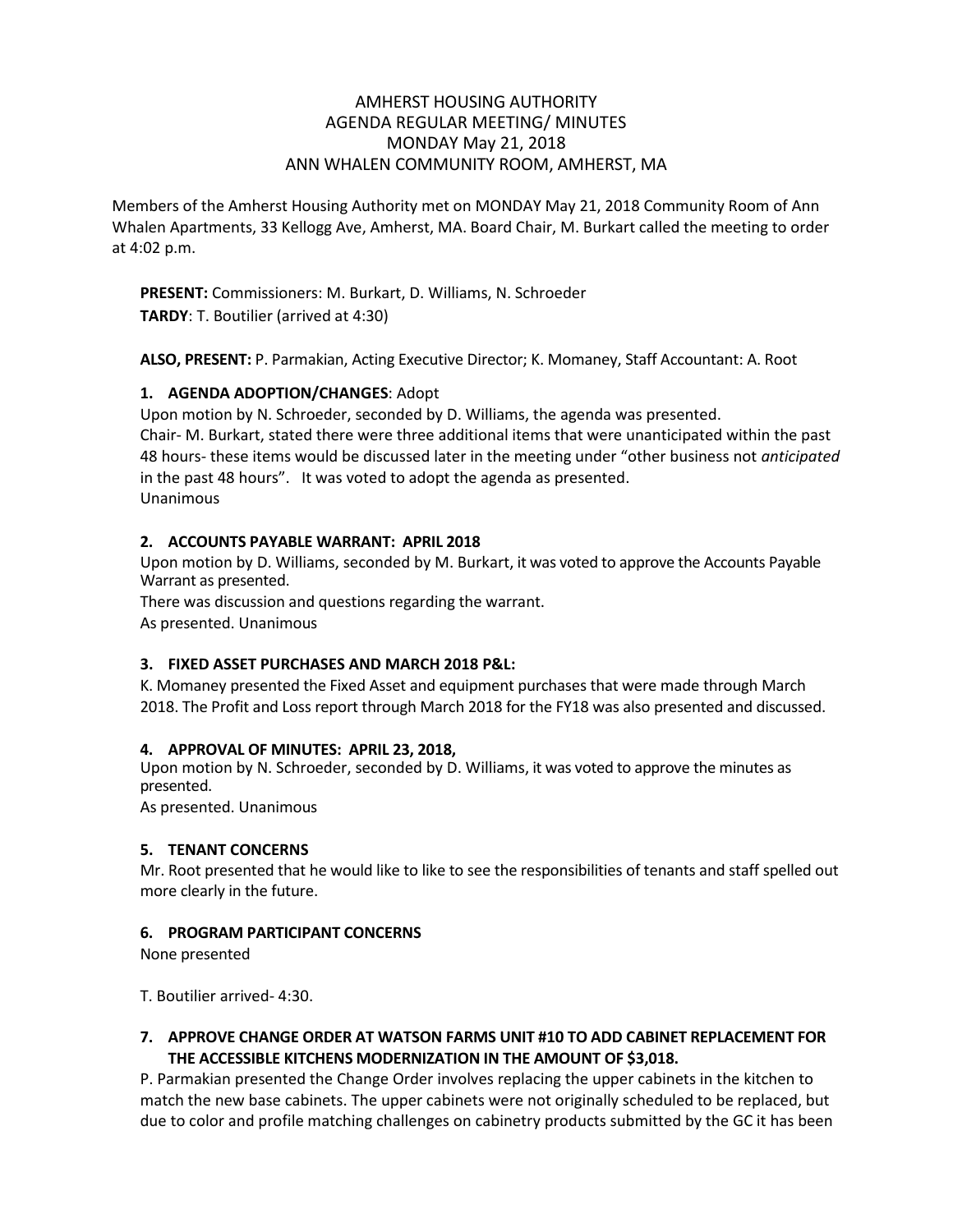## AMHERST HOUSING AUTHORITY AGENDA REGULAR MEETING/ MINUTES MONDAY May 21, 2018 ANN WHALEN COMMUNITY ROOM, AMHERST, MA

Members of the Amherst Housing Authority met on MONDAY May 21, 2018 Community Room of Ann Whalen Apartments, 33 Kellogg Ave, Amherst, MA. Board Chair, M. Burkart called the meeting to order at 4:02 p.m.

**PRESENT:** Commissioners: M. Burkart, D. Williams, N. Schroeder **TARDY**: T. Boutilier (arrived at 4:30)

**ALSO, PRESENT:** P. Parmakian, Acting Executive Director; K. Momaney, Staff Accountant: A. Root

### **1. AGENDA ADOPTION/CHANGES**: Adopt

Upon motion by N. Schroeder, seconded by D. Williams, the agenda was presented. Chair- M. Burkart, stated there were three additional items that were unanticipated within the past 48 hours- these items would be discussed later in the meeting under "other business not *anticipated* in the past 48 hours". It was voted to adopt the agenda as presented. Unanimous

#### **2. ACCOUNTS PAYABLE WARRANT: APRIL 2018**

Upon motion by D. Williams, seconded by M. Burkart, it was voted to approve the Accounts Payable Warrant as presented.

There was discussion and questions regarding the warrant. As presented. Unanimous

#### **3. FIXED ASSET PURCHASES AND MARCH 2018 P&L:**

K. Momaney presented the Fixed Asset and equipment purchases that were made through March 2018. The Profit and Loss report through March 2018 for the FY18 was also presented and discussed.

#### **4. APPROVAL OF MINUTES: APRIL 23, 2018,**

Upon motion by N. Schroeder, seconded by D. Williams, it was voted to approve the minutes as presented.

As presented. Unanimous

#### **5. TENANT CONCERNS**

Mr. Root presented that he would like to like to see the responsibilities of tenants and staff spelled out more clearly in the future.

# **6. PROGRAM PARTICIPANT CONCERNS**

None presented

T. Boutilier arrived- 4:30.

# **7. APPROVE CHANGE ORDER AT WATSON FARMS UNIT #10 TO ADD CABINET REPLACEMENT FOR THE ACCESSIBLE KITCHENS MODERNIZATION IN THE AMOUNT OF \$3,018.**

P. Parmakian presented the Change Order involves replacing the upper cabinets in the kitchen to match the new base cabinets. The upper cabinets were not originally scheduled to be replaced, but due to color and profile matching challenges on cabinetry products submitted by the GC it has been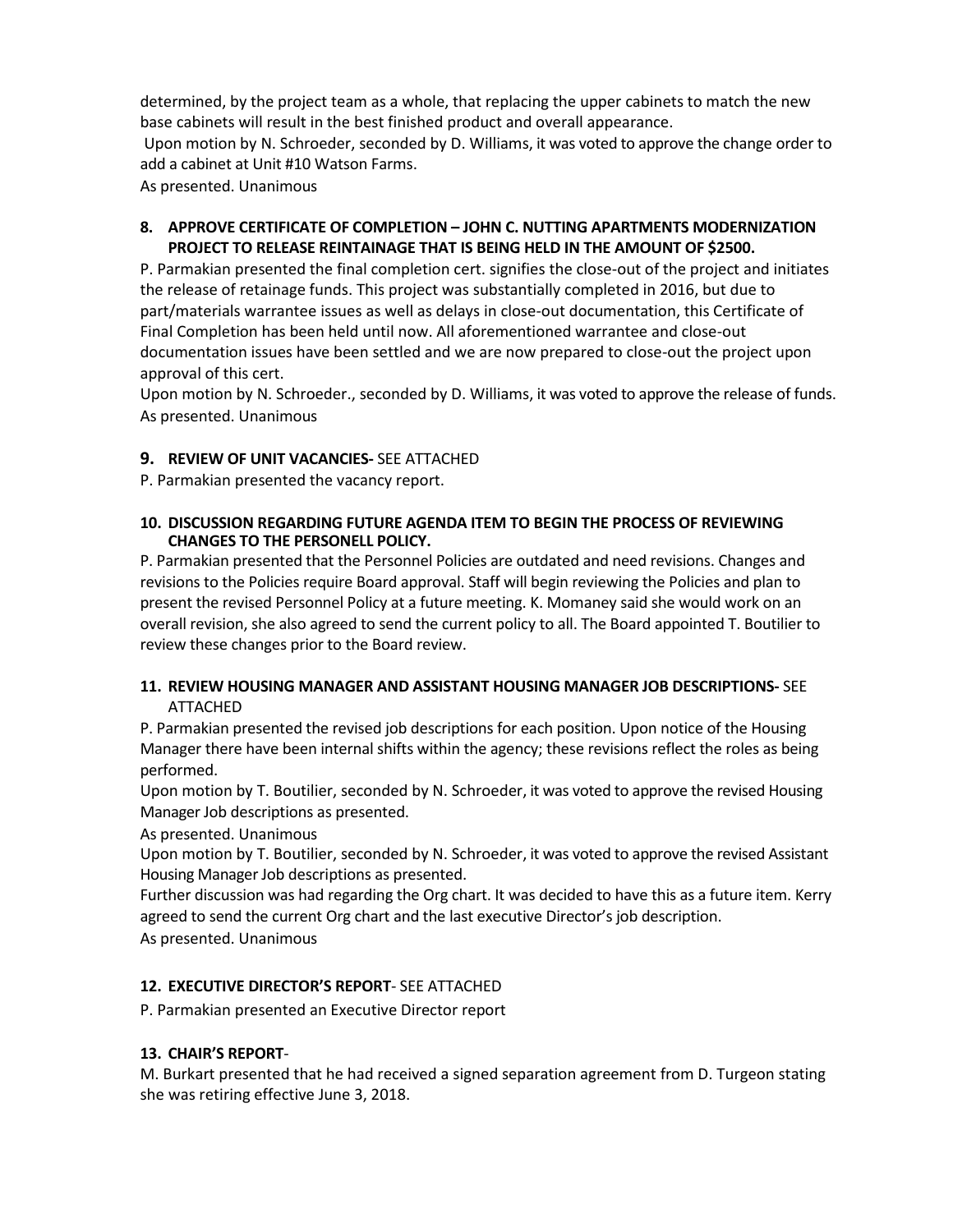determined, by the project team as a whole, that replacing the upper cabinets to match the new base cabinets will result in the best finished product and overall appearance. Upon motion by N. Schroeder, seconded by D. Williams, it was voted to approve the change order to add a cabinet at Unit #10 Watson Farms.

As presented. Unanimous

#### **8. APPROVE CERTIFICATE OF COMPLETION – JOHN C. NUTTING APARTMENTS MODERNIZATION PROJECT TO RELEASE REINTAINAGE THAT IS BEING HELD IN THE AMOUNT OF \$2500.**

P. Parmakian presented the final completion cert. signifies the close-out of the project and initiates the release of retainage funds. This project was substantially completed in 2016, but due to part/materials warrantee issues as well as delays in close-out documentation, this Certificate of Final Completion has been held until now. All aforementioned warrantee and close-out documentation issues have been settled and we are now prepared to close-out the project upon approval of this cert.

Upon motion by N. Schroeder., seconded by D. Williams, it was voted to approve the release of funds. As presented. Unanimous

### **9. REVIEW OF UNIT VACANCIES-** SEE ATTACHED

P. Parmakian presented the vacancy report.

#### **10. DISCUSSION REGARDING FUTURE AGENDA ITEM TO BEGIN THE PROCESS OF REVIEWING CHANGES TO THE PERSONELL POLICY.**

P. Parmakian presented that the Personnel Policies are outdated and need revisions. Changes and revisions to the Policies require Board approval. Staff will begin reviewing the Policies and plan to present the revised Personnel Policy at a future meeting. K. Momaney said she would work on an overall revision, she also agreed to send the current policy to all. The Board appointed T. Boutilier to review these changes prior to the Board review.

### **11. REVIEW HOUSING MANAGER AND ASSISTANT HOUSING MANAGER JOB DESCRIPTIONS-** SEE ATTACHED

P. Parmakian presented the revised job descriptions for each position. Upon notice of the Housing Manager there have been internal shifts within the agency; these revisions reflect the roles as being performed.

Upon motion by T. Boutilier, seconded by N. Schroeder, it was voted to approve the revised Housing Manager Job descriptions as presented.

As presented. Unanimous

Upon motion by T. Boutilier, seconded by N. Schroeder, it was voted to approve the revised Assistant Housing Manager Job descriptions as presented.

Further discussion was had regarding the Org chart. It was decided to have this as a future item. Kerry agreed to send the current Org chart and the last executive Director's job description.

As presented. Unanimous

# **12. EXECUTIVE DIRECTOR'S REPORT**- SEE ATTACHED

P. Parmakian presented an Executive Director report

# **13. CHAIR'S REPORT**-

M. Burkart presented that he had received a signed separation agreement from D. Turgeon stating she was retiring effective June 3, 2018.